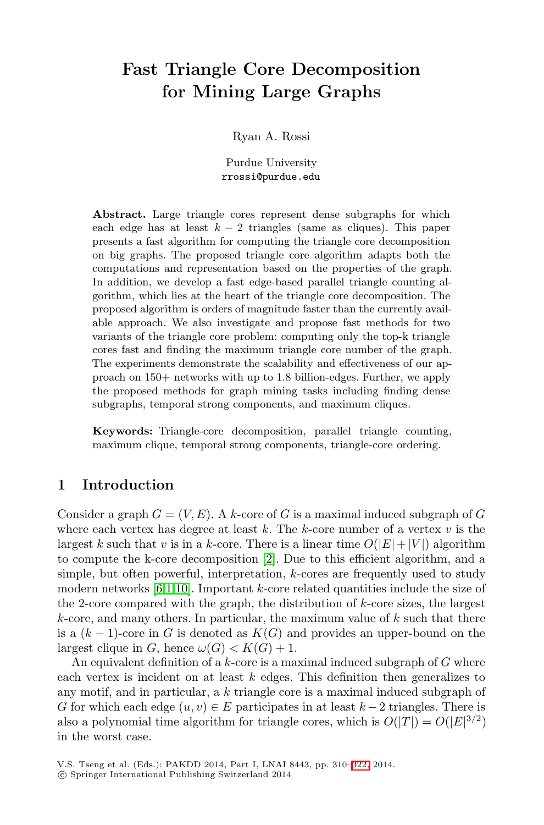# **Fast Triangle Core Decomposition for Mining Large Graphs**

Ryan A. Rossi

Purdue University rrossi@purdue.edu

**Abstract.** Large triangle cores represent dense subgraphs for which each edge has at least  $k-2$  triangles (same as cliques). This paper presents a fast algorithm for computing the triangle core decomposition on big graphs. The proposed triangle core algorithm adapts both the computations and representation based on the properties of the graph. In addition, we develop a fast edge-based parallel triangle counting algorithm, which lies at the heart of the triangle core decomposition. The proposed algorithm is orders of magnitude faster than the currently available approach. We also investigate and propose fast methods for two variants of the triangle core problem: computing only the top-k triangle cores fast and finding the maximum triangle core number of the graph. The experiments demonstrate the scalability and effectiveness of our approach on 150+ networks with up to 1.8 billion-edges. Further, we apply the proposed methods for graph mining tasks including finding dense subgraphs, temporal strong components, and maximum cliques.

**Keywords:** Triangle-core decomposition, parallel triangle counting, maximum cliq[ue,](#page-12-0) temporal strong components, triangle-core ordering.

## **[1](#page-12-1) [In](#page-12-3)troduction**

Consider a graph  $G = (V, E)$ . A k-core of G is a maximal induced subgraph of G where each vertex has degree at least  $k$ . The  $k$ -core number of a vertex  $v$  is the largest k such that v is in a k-core. There is a linear time  $O(|E|+|V|)$  algorithm to compute the k-core decomposition [2]. Due to this efficient algorithm, and a simple, but often powerful, interpretation, k-cores are frequently used to study modern networks  $[6,1,10]$ . Important k-core related quantities include the size of the 2-core compared with the graph, the distribution of  $k$ -core sizes, the largest  $k$ -core, and many others. In particular, the maximum value of  $k$  such that there is a  $(k-1)$ -core in G is denoted as  $K(G)$  and provides an upper-bound on the largest clique in G, hence  $\omega(G) < K(G) + 1$  $\omega(G) < K(G) + 1$  $\omega(G) < K(G) + 1$ .

An equivalent definition of a  $k$ -core is a maximal induced subgraph of  $G$  where each vertex is incident on at least  $k$  edges. This definition then generalizes to any motif, and in particular, a k triangle core is a maximal induced subgraph of G for which each edge  $(u, v) \in E$  participates in at least  $k - 2$  triangles. There is also a polynomial time algorithm for triangle cores, which is  $O(|T|) = O(|E|^{3/2})$ in the worst case.

V.S. Tseng et al. (Eds.): PAKDD 2014, Part I, LNAI 8443, pp. 310–322, 2014. -c Springer International Publishing Switzerland 2014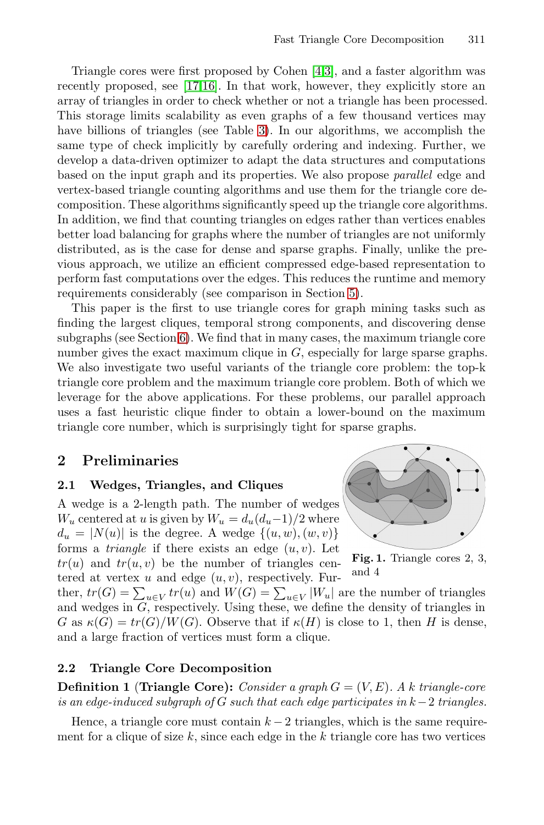Triangle cores were first proposed by Cohen [4,3], and a faster algorithm was recently proposed, see [17,16]. In that work, however, they explicitly store an array of triangles in order to check whether or not a triangle has been processed. This storage limits scalability as even graphs of a few thousand vertices may have billions of triangles (see Table 3). In our algorithms, we accomplish the same type of check implicitly by carefully ordering and indexing. Further, we develop a data-driven optimizer to adapt the data structures and computations based on the input graph and its p[rop](#page-7-0)erties. We also propose *parallel* edge and vertex-based triangle counting algorithms and use them for the triangle core decomposition. These algorithms significantly speed up the triangle core algorithms. In a[dd](#page-10-0)ition, we find that counting triangles on edges rather than vertices enables better load balancing for graphs where the number of triangles are not uniformly distributed, as is the case for dense and sparse graphs. Finally, unlike the previous approach, we utilize an efficient compressed edge-based representation to perform fast computations over the edges. This reduces the runtime and memory requirements considerably (see comparison in Section 5).

This paper is the first to use triangle cores for graph mining tasks such as finding the largest cliques, temporal strong components, and discovering dense subgraphs (see Section 6). We find that in many cases, the maximum triangle core number gives the exact maximum clique in  $G$ , especially for large sparse graphs. We also investigate two useful variants of the triangle core problem: the top-k triangle core problem and the maximum triangle core problem. Both of which we leverage for the above applications. For these problems, our parallel approach uses a fast heuristic clique finder to obtain a lower-bound on the maximum triangle core number, which is surprisingly tight for sparse graphs.

### <span id="page-1-0"></span>**2 Preliminaries**

#### **2.1 Wedges, Triangles, and Cliques**

A wedge is a 2-length path. The number of wedges  $W_u$  centered at u is given by  $W_u = d_u(d_u-1)/2$  where  $d_u = |N(u)|$  is the degree. A wedge  $\{(u, w), (w, v)\}$ forms a *triangle* if there exists an edge  $(u, v)$ . Let  $tr(u)$  and  $tr(u, v)$  be the number of triangles centered at vertex  $u$  and edge  $(u, v)$ , respectively. Fur-



**Fig. 1.** Triangle cores 2, 3, and 4

ther,  $tr(G) = \sum_{u \in V} tr(u)$  and  $W(G) = \sum_{u \in V} |W_u|$  are the number of triangles and wedges in  $G$ , respectively. Using these, we define the density of triangles in G as  $\kappa(G) = \frac{tr(G)}{W(G)}$ . Observe that if  $\kappa(H)$  is close to 1, then H is dense, and a large fraction of vertices must form a clique.

#### **2.2 Triangle Core Decomposition**

**Definition 1** (**Triangle Core):** *Consider a graph* G = (V,E)*. A* k *triangle-core is an edge-induced subgraph of* <sup>G</sup> *such that each edge participates in* <sup>k</sup>−<sup>2</sup> *triangles.*

Hence, a triangle core must contain  $k - 2$  triangles, which is the same requirement for a clique of size  $k$ , since each edge in the  $k$  triangle core has two vertices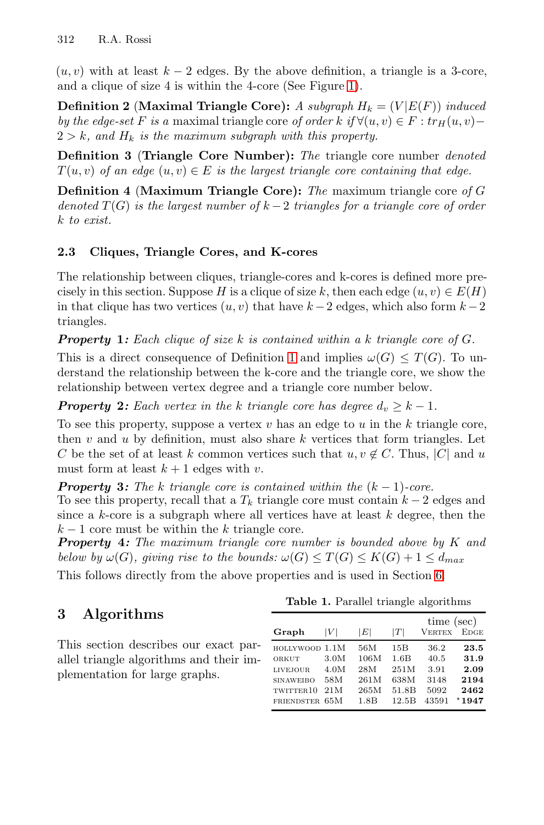$(u, v)$  with at least  $k - 2$  edges. By the above definition, a triangle is a 3-core, and a clique of size 4 is within the 4-core (See Figure 1).

**Definition 2** (Maximal Triangle Core): *A subgraph*  $H_k = (V | E(F))$  *induced by the edge-set* F *is a* maximal triangle core *of order* k *if*  $\forall (u, v) \in F : tr_H(u, v)$ −  $2 > k$ , and  $H_k$  is the maximum subgraph with this property.

**Definition 3** (**Triangle Core Number):** *The* triangle core number *denoted*  $T(u, v)$  *of an edge*  $(u, v) \in E$  *is the largest triangle core containing that edge.* 

**Definition 4** (**Maximum Triangle Core):** *The* maximum triangle core *of* G *denoted*  $T(G)$  *is the largest number of*  $k-2$  *triangles for a triangle core of order* k *to exist.*

#### <span id="page-2-1"></span>**2.3 Cliques, Triangl[e](#page-1-0) [C](#page-1-0)ores, and K-cores**

The relationship between cliques, triangle-cores and k-cores is defined more precisely in this section. Suppose H is a clique of size k, then each edge  $(u, v) \in E(H)$ in that clique has two vertices  $(u, v)$  that have  $k - 2$  edges, which also form  $k - 2$ triangles.

*Property* **1***: Each clique of size* k *is contained within a* k *triangle core of* G*.*

<span id="page-2-0"></span>This is a direct consequence of Definition 1 and implies  $\omega(G) \leq T(G)$ . To understand the relationship between the k-core and the triangle core, we show the relationship between vertex degree and a triangle core number below.

*Property* **2***: Each vertex in the k triangle core has degree*  $d_v \geq k - 1$ *.* 

To see this property, suppose a vertex  $v$  has an edge to  $u$  in the  $k$  triangle core, then  $v$  and  $u$  by definition, must also share  $k$  vertices that form triangles. Let C be the set of [at](#page-10-0) least k common vertices such that  $u, v \notin C$ . Thus, |C| and u must form at least  $k + 1$  edges with v.

*Property* **3***: The* k *triangle core is contained within the*  $(k-1)$ *-core.* 

To see this property, recall that a  $T_k$  triangle core must contain  $k-2$  edges and since a  $k$ -core is a subgraph where all vertices have at least  $k$  degree, then the  $k-1$  core must be within the k triangle core.

*Property* **4***: The maximum triangle core number is bounded above by* K *and below by*  $\omega(G)$ *, giving rise to the bounds:*  $\omega(G) \leq T(G) \leq K(G) + 1 \leq d_{max}$ 

This follows directly from the above properties and is used in Section 6.

### **3 Algorithms**

**Table 1.** Parallel triangle algorithms

This section describes our exact parallel triangle algorithms and their implementation for large graphs.

|                   |      | time (sec) |                   |               |             |
|-------------------|------|------------|-------------------|---------------|-------------|
| Graph             | IVI  | $E\vert$   | T                 | <b>VERTEX</b> | <b>EDGE</b> |
| HOLLYWOOD 1.1M    |      | 56M        | 15B               | 36.2          | 23.5        |
| ORKUT             | 3.0M | 106M       | 1.6B              | 40.5          | 31.9        |
| <b>LIVEJOUR</b>   | 4.0M | 28M        | 251M              | 3.91          | 2.09        |
| <b>SINAWEIBO</b>  | 58M  | 261M       | 638M              | 3148          | 2194        |
| TWITTER10         | 21 M | 265M       | 51.8 <sub>B</sub> | 5092          | 2462        |
| <b>FRIENDSTER</b> | 65M  | 1.8B       | 12.5B             | 43591         | $*1947$     |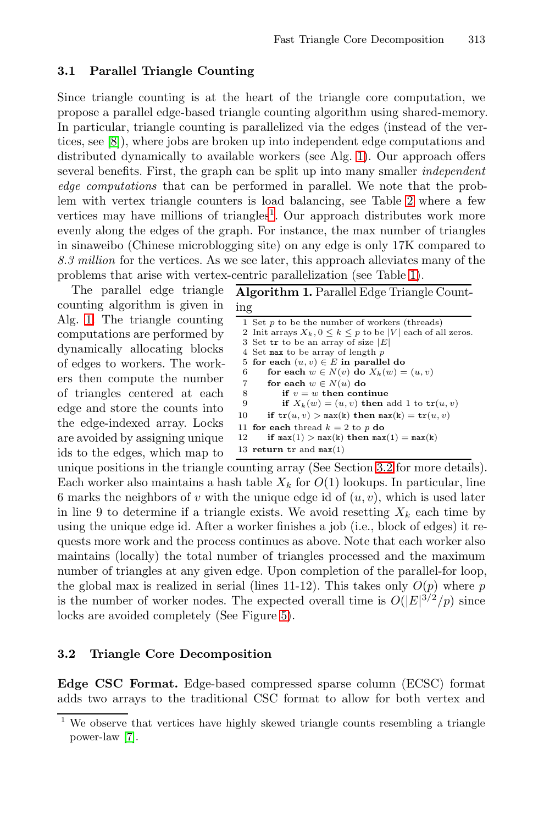#### **3.1 Parallel Triangle Counting**

Since triangle counting is at the heart of th[e](#page-8-0) triangle core computation, we propose a parallel edge-based triangle counting algorithm using shared-memory. In particular, triangle counting is parallelized via the edges (instead of the vertices, see [8]), where jobs are broken up into independent edge computations and distributed dynamically to available workers ([see](#page-2-0) Alg. 1). Our approach offers several benefits. First, the graph can be split up into many smaller *independent edge computations* that can be performed in parallel. We note that the problem with vertex triangle counters is load balancing, see Table 2 where a few vertices may have millions of triangles<sup>1</sup>. Our approach distributes work more evenly along the edges of the graph. For instance, the max number of triangles in sinaweibo (Chinese microblogging site) on any edge is only 17K compared to *8.3 million* for the vertices. As we see later, this approach alleviates many of the problems that arise with vertex-centric parallelization (see Table 1).

The parallel edge triangle Algorithm 1. Parallel Edge Triangle Countcounting algorithm is given in Alg. 1. The triangle counting computations are performed by dynamically allocating blocks of edges to workers. The workers then compute the number of triangles centered at each edge and store the counts into the edge-indexed array. Locks are avoided by assigning unique ids to the edges, which map to

| Algorithm 1. Parallel Edge Triangle Count-                         |
|--------------------------------------------------------------------|
| <sub>1</sub> ng                                                    |
| 1 Set p to be the number of workers (threads)                      |
| 2 Init arrays $X_k$ , $0 \le k \le p$ to be  V  each of all zeros. |
| 3 Set tr to be an array of size $ E $                              |
| 4 Set max to be array of length p                                  |
| 5 for each $(u, v) \in E$ in parallel do                           |
| for each $w \in N(v)$ do $X_k(w) = (u, v)$<br>6                    |
| 7<br>for each $w \in N(u)$ do                                      |
| 8<br>if $v = w$ then continue                                      |
| 9<br>if $X_k(w) = (u, v)$ then add 1 to $tr(u, v)$                 |
| if $tr(u, v) > max(k)$ then $max(k) = tr(u, v)$<br>10              |
| 11 for each thread $k = 2$ to p do                                 |
| if $max(1) > max(k)$ then $max(1) = max(k)$<br>12                  |
| 13 return $tr$ and $max(1)$                                        |

<span id="page-3-0"></span>unique positions in the triangle counting array (See Section 3.2 for more details). Each worker also maintains a hash table  $X_k$  for  $O(1)$  lookups. In particular, line 6 marks the neighbors [of](#page-9-0) v with the unique edge id of  $(u, v)$ , which is used later in line 9 to determine if a triangle exists. We avoid resetting  $X_k$  each time by using the unique edge id. After a worker finishes a job (i.e., block of edges) it requests more work and the process continues as above. Note that each worker also maintains (locally) the total number of triangles processed and the maximum number of triangles at any given edge. Upon completion of the parallel-for loop, the global max is realized in serial (lines 11-12). This takes only  $O(p)$  where p is the number of worker nodes. The expected overall time is  $O(|E|^{3/2}/p)$  since locks are avoided completely (See Figure 5).

#### **3.2 Triangle Core Decomposition**

**Edge CSC Format.** Edge-based compressed sparse column (ECSC) format adds two arrays to the traditional CSC format to allow for both vertex and

We observe that vertices have highly skewed triangle counts resembling a triangle power-law [7].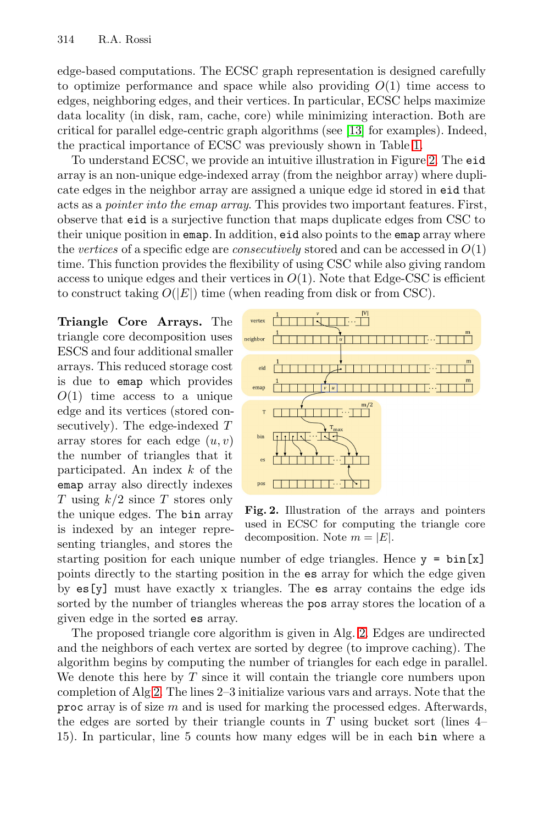edge-based computations. The ECSC graph representation is designed carefully to optimize performance and space while also providing  $O(1)$  time access to edges, neighboring edges, and their vertices. In particular, ECSC helps maximize data locality (in disk, ram, cache, core) while minimizing interaction. Both are critical for parallel edge-centric graph algorithms (see [13] for examples). Indeed, the practical importance of ECSC was previously shown in Table 1.

To understand ECSC, we provide an intuitive illustration in Figure 2. The eid array is an non-unique edge-indexed array (from the neighbor array) where duplicate edges in the neighbor array are assigned a unique edge id stored in eid that acts as a *pointer into the emap array*. This provides two important features. First, observe that eid is a surjective function that maps duplicate edges from CSC to their unique position in emap. In addition, eid also points to the emap array where the *vertices* of a specific edge are *consecutively* stored and can be accessed in O(1) time. This function provides the flexibility of using CSC while also giving random access to unique edges and their vertices in  $O(1)$ . Note that Edge-CSC is efficient to construct taking  $O(|E|)$  time (when reading from disk or from CSC).

**Triangle Core Arrays.** The triangle core decomposition uses ESCS and four additional smaller arrays. This reduced storage cost is due to emap which provides  $O(1)$  time access to a unique edge and its vertices (stored consecutively). The edge-indexed T array stores for each edge  $(u, v)$ the number of triangles that it participated. An index  $k$  of the emap array also directly indexes T using  $k/2$  since T stores only the unique edges. The bin array is indexed by an integer representing triangles, and stores the



**Fig. 2.** Illustration of the arrays and pointers use[d](#page-5-0) in ECSC for computing the triangle core decomposition. Note  $m = |E|$ .

starting position for each unique number of edge triangles. Hence  $y = bin[x]$ [p](#page-5-0)oints directly to the starting position in the es array for which the edge given by es[y] must have exactly x triangles. The es array contains the edge ids sorted by the number of triangles whereas the pos array stores the location of a given edge in the sorted es array.

The proposed triangle core algorithm is given in Alg. 2. Edges are undirected and the neighbors of each vertex are sorted by degree (to improve caching). The algorithm begins by computing the number of triangles for each edge in parallel. We denote this here by  $T$  since it will contain the triangle core numbers upon completion of Alg 2. The lines 2–3 initialize various vars and arrays. Note that the proc array is of size  $m$  and is used for marking the processed edges. Afterwards, the edges are sorted by their triangle counts in  $T$  using bucket sort (lines  $4-$ 15). In particular, line 5 counts how many edges will be in each bin where a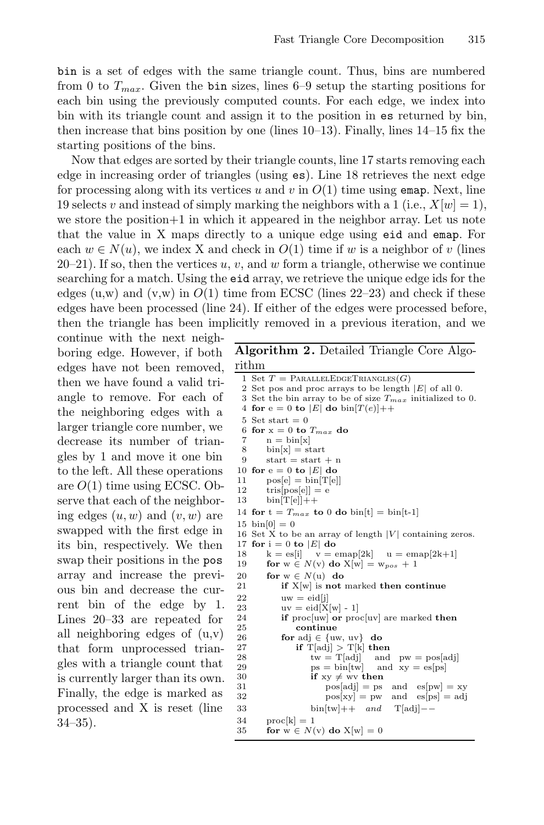bin is a set of edges with the same triangle count. Thus, bins are numbered from 0 to  $T_{max}$ . Given the bin sizes, lines 6–9 setup the starting positions for each bin using the previously computed counts. For each edge, we index into bin with its triangle count and assign it to the position in es returned by bin, then increase that bins position by one (lines  $10-13$ ). Finally, lines  $14-15$  fix the starting positions of the bins.

Now that edges are sorted by their triangle counts, line 17 starts removing each edge in increasing order of triangles (using es). Line 18 retrieves the next edge for processing along with its vertices u and v in  $O(1)$  time using emap. Next, line 19 selects v and instead of simply marking the neighbors with a 1 (i.e.,  $X[w] = 1$ ), we store the position+1 in which it appeared in the neighbor array. Let us note that the value in X maps directly to a unique edge using eid and emap. For each  $w \in N(u)$ , we index X and check in  $O(1)$  time if w is a neighbor of v (lines 20–21). If so, then the vertices u, v, and w form a triangle, otherwise we continue searching for a match. Using the eid array, we retrieve the unique edge ids for the edges  $(u, w)$  and  $(v, w)$  in  $O(1)$  time from ECSC (lines 22–23) and check if these edges have been processed (line 24). If either of the edges were processed before, then the triangle has been implicitly removed in a previous iteration, and we

continue with the next neighboring edge. However, if both edges have not been removed, then we have found a valid triangle to remove. For each of the neighboring edges with a larger triangle core number, we decrease its number of triangles by 1 and move it one bin to the left. All these operations are  $O(1)$  time using ECSC. Observe that each of the neighboring edges  $(u, w)$  and  $(v, w)$  are swapped with the first edge in its bin, respectively. We then swap their positions in the pos array and increase the previous bin and decrease the current bin of the edge by 1. Lines 20–33 are repeated for all neighboring edges of (u,v) that form unprocessed triangles with a triangle count that is currently larger than its own. Finally, the edge is marked as processed and X is reset (line 34–35).

<span id="page-5-0"></span>**Algorithm 2.** Detailed Triangle Core Algorithm

1 Set  $T =$  PARALLELEDGETRIANGLES(G) 2 Set pos and proc arrays to be length  $|E|$  of all 0. 3 Set the bin array to be of size  $T_{max}$  initialized to 0. 4 **for**  $e = 0$  **to**  $|E|$  **do**  $\text{bin}[T(e)]++$ 5 Set start  $= 0$ 6 **for**  $x = 0$  **to**  $T_{max}$  **do**  $7$  **n** = bin[x]  $n = bin[x]$  $\begin{array}{ll}\n8 & \text{bin}[\text{x}] = \text{start} \\
9 & \text{start} = \text{start}\n\end{array}$  $start = start + n$ 10 **for**  $e = 0$  **to**  $|E|$  **do**<br>11 **pos**  $|e| = \text{bin}[T]e$ 11  $\text{pos}[e] = \text{bin}[T[e]]$ <br>12 tris $\text{pos}[e] = e$  $12$  tris $[pos[e]] = e$ <br>  $13$   $bin[T[e]]++$  $\text{bin}[T[e]]++$ 14 **for**  $t = T_{max}$  **to** 0 **do** bin[t] = bin[t-1]  $15 \; \text{bin}[0] = 0$ 16 Set  $\overline{X}$  to be an array of length  $|V|$  containing zeros. 17 **for**  $i = 0$  **to**  $|E|$  **do**<br>18 **k** = estil **y** = e  $k = es[i]$  v = emap[2k] u = emap[2k+1] 19 **for**  $w \in N(v)$  **do**  $X[w] = w_{pos} + 1$ <br>20 **for**  $w \in N(u)$  **do** 20 **for**  $w \in N(u)$  **do**<br>21 **if**  $X[w]$  is not 21 **if** X[w] is **not** marked **then continue**  $22 \qquad \qquad uw = \operatorname{eid}[j]$ 23  $uv = \text{eid}[\tilde{X}[w] - 1]$ 24 **if** proc[uw] **or** proc[uv] are marked **then continue** 26 **for** adj  $\in$  {uw, uv} **do**<br>27 **if** T[adi] > T[k] **the** 27 **if**  $T[\text{adj}] > T[k]$  **then** 28  $tw = T[adj]$  and  $pw = pos[adj]$ 29 ps = bin[tw] and  $xy = e[s]$ <br>30 **if**  $xy \neq wy$  then 30 **if**  $xy \neq wv$  **then**<br>31  $pos[adj] = ps$ and  $es[pw] = xy$  $32 \qquad \qquad \text{pos}[\text{xy}] = \text{pw} \quad \text{and} \quad \text{es}[\text{ps}] = \text{adj}$ 33 bin $[tw]$ ++ *and* T[adj]−-<br>34 proc[k] = 1  $proc[k] = 1$ 35 **for**  $w \in N(v)$  **do**  $X[w] = 0$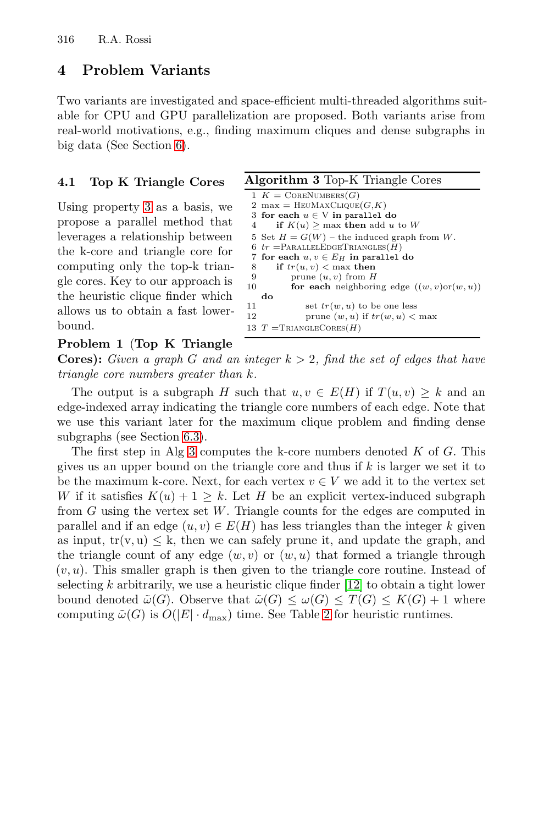# <span id="page-6-0"></span>**4 Problem Variants**

Two variants are investigated and space-efficient multi-threaded algorithms suitable for CPU and GPU parallelization are proposed. Both variants arise from real-world motivations, e.g., finding maximum cliques and dense subgraphs in big data (See Section 6).

Using property 3 as a basis, we propose a parallel method that leverages a relationship between the k-core and triangle core for computing only the top-k triangle cores. Key to our approach is the heuristic clique finder which allows us to obtain a fast lowerboun[d.](#page-11-0)



#### **Prob[lem](#page-6-0) 1** (**Top K Triangle**

**Cores):** *Given a graph* G *and an integer* k > 2*, find the set of edges that have triangle core numbers greater than* k*.*

The output is a subgraph H such that  $u, v \in E(H)$  if  $T(u, v) \geq k$  and an edge-indexed array indicating the triangle core numbers of each edge. Note that we use this variant later for the maximum clique problem and finding dense subgraphs (see Section 6.3).

The first step in Alg 3 computes the k-core numbers denoted  $K$  of  $G$ . This gives us an upper bound on the tri[angl](#page-12-5)e core and thus if  $k$  is larger we set it to be the maximum k-core. Next, for each vertex  $v \in V$  we add it to the vertex set W if it satisfies  $K(u) + 1 \geq k$ [. L](#page-8-0)et H be an explicit vertex-induced subgraph from G using the vertex set W. Triangle counts for the edges are computed in parallel and if an edge  $(u, v) \in E(H)$  has less triangles than the integer k given as input,  $tr(v, u) \leq k$ , then we can safely prune it, and update the graph, and the triangle count of any edge  $(w, v)$  or  $(w, u)$  that formed a triangle through  $(v, u)$ . This smaller graph is then given to the triangle core routine. Instead of selecting k arbitrarily, we use a heuristic clique finder  $[12]$  to obtain a tight lower bound denoted  $\tilde{\omega}(G)$ . Observe that  $\tilde{\omega}(G) \leq \omega(G) \leq T(G) \leq K(G) + 1$  where computing  $\tilde{\omega}(G)$  is  $O(|E| \cdot d_{\text{max}})$  time. See Table 2 for heuristic runtimes.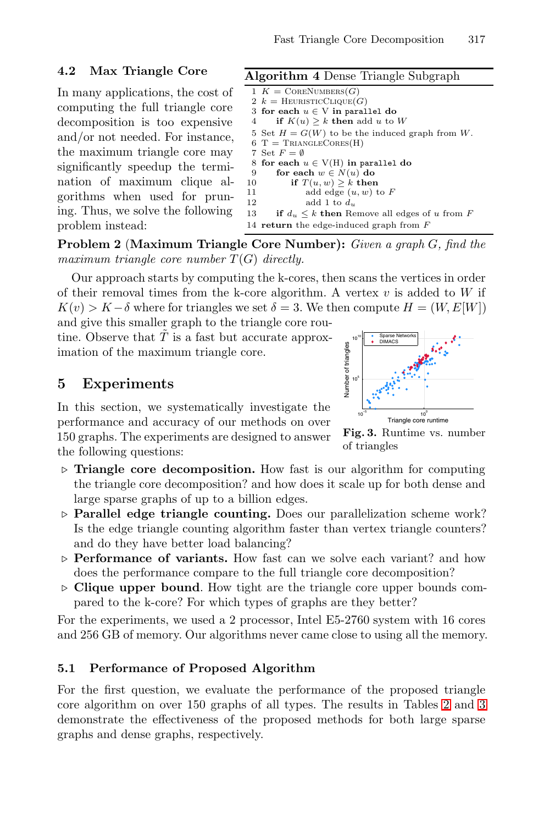<span id="page-7-1"></span><span id="page-7-0"></span>

| 4.2 Max Triangle Core             | <b>Algorithm 4 Dense Triangle Subgraph</b>                                 |
|-----------------------------------|----------------------------------------------------------------------------|
| In many applications, the cost of | 1 $K = \text{CORENUMBERS}(G)$<br>2 $k =$ HEURISTICCLIQUE(G)                |
| computing the full triangle core  | 3 for each $u \in V$ in parallel do                                        |
| decomposition is too expensive    | if $K(u) \geq k$ then add u to W<br>4                                      |
| and/or not needed. For instance,  | 5 Set $H = G(W)$ to be the induced graph from W.<br>$6T = ThIANGECORES(H)$ |
| the maximum triangle core may     | 7 Set $F = \emptyset$                                                      |
| significantly speedup the termi-  | 8 for each $u \in V(H)$ in parallel do                                     |
|                                   | for each $w \in N(u)$ do<br>9                                              |
| nation of maximum clique al-      | if $T(u, w) \geq k$ then<br>10                                             |
| gorithms when used for prun-      | add edge $(u, w)$ to F<br>11                                               |
|                                   | 12<br>add 1 to $d_u$                                                       |
| ing. Thus, we solve the following | 13<br><b>if</b> $d_u \leq k$ then Remove all edges of u from F             |
| problem instead:                  | 14 return the edge-induced graph from $F$                                  |

**Problem 2** (**Maximum Triangle Core Number):** *Given a graph* G*, find the maximum triangle core number*  $T(G)$  *directly.* 

Our approach starts by computing the k-cores, then scans the vertices in order of their removal times from the k-core algorithm. A vertex  $v$  is added to  $W$  if  $K(v) > K - \delta$  where for triangles we set  $\delta = 3$ . We then compute  $H = (W, E[W])$ and give this smaller graph to the triangle core rou-

tine. Observe that  $\tilde{T}$  is a fast but accurate approximation of the maximum triangle core.

#### **5 Experiments**

In this section, we systematically investigate the performance and accuracy of our methods on over 150 graphs. The experiments are designed to answer the following questions:



- **Parallel edge triangle counting.** Does our parallelization scheme work? Is the edge triangle counting algorithm faster than vertex triangle counters? and do they have better load balancing?
- **Performance of variants.** How fast can we solve each variant? and how does the performance compare to the full triangle core decomposition?
- $\triangleright$  $\triangleright$  $\triangleright$  **Clique [up](#page-8-1)per bound**. How tight are the triangle core upper bounds compared to the k-core? For which types of graphs are they better?

For the experiments, we used a 2 processor, Intel E5-2760 system with 16 cores and 256 GB of memory. Our algorithms never came close to using all the memory.

#### **5.1 Performance of Proposed Algorithm**

For the first question, we evaluate the performance of the proposed triangle core algorithm on over 150 graphs of all types. The results in Tables 2 and 3 demonstrate the effectiveness of the proposed methods for both large sparse graphs and dense graphs, respectively.



**Fig. 3.** Runtime vs. number of triangles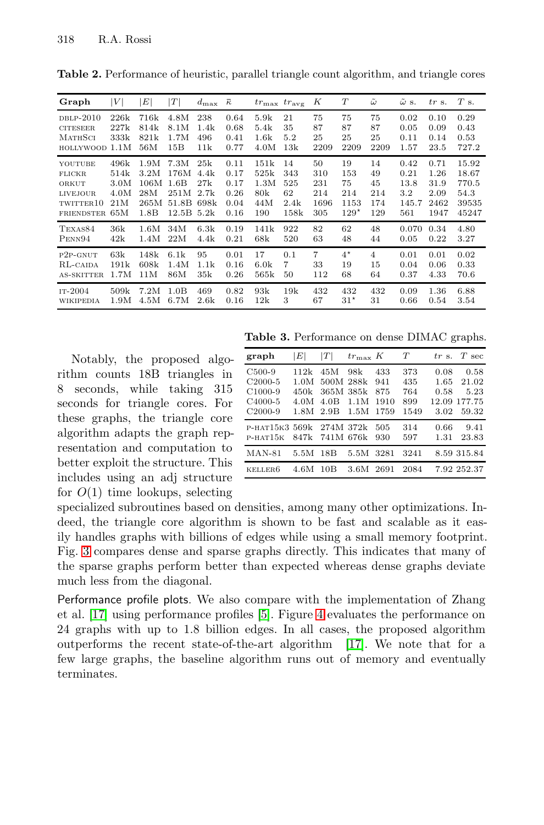<span id="page-8-1"></span><span id="page-8-0"></span>**Table 2.** Performance of heuristic, parallel triangle count algorithm, and triangle cores

| Graph                                                                               | $\left V\right $                    | $E\vert$                                    | T                                                     | $d_{\max}$                         | $\bar{\kappa}$                               |                                           | $tr_{\text{max}}$ $tr_{\text{avg}}$    | К                                      | T                                        | $\tilde{\omega}$                    | $\tilde{\omega}$ s.                         | $tr$ s.                                      | $T$ s.                                            |
|-------------------------------------------------------------------------------------|-------------------------------------|---------------------------------------------|-------------------------------------------------------|------------------------------------|----------------------------------------------|-------------------------------------------|----------------------------------------|----------------------------------------|------------------------------------------|-------------------------------------|---------------------------------------------|----------------------------------------------|---------------------------------------------------|
| $DBLP-2010$<br><b>CITESEER</b><br><b>MATHSCI</b><br>HOLLYWOOD 1.1M                  | 226k<br>227k<br>333k                | 716k<br>814k<br>821k<br>56M                 | 4.8M<br>8.1M<br>1.7M<br>15B                           | 238<br>1.4k<br>496<br>11k          | 0.64<br>0.68<br>0.41<br>0.77                 | 5.9k<br>5.4k<br>1.6k<br>4.0M              | 21<br>35<br>5.2<br>13k                 | 75<br>87<br>25<br>2209                 | 75<br>87<br>25<br>2209                   | 75<br>87<br>25<br>2209              | 0.02<br>0.05<br>0.11<br>1.57                | 0.10<br>0.09<br>0.14<br>23.5                 | 0.29<br>0.43<br>0.53<br>727.2                     |
| YOUTUBE<br><b>FLICKR</b><br>ORKUT<br><b>LIVEJOUR</b><br>TWITTER10<br>FRIENDSTER 65M | 496k<br>514k<br>3.0M<br>4.0M<br>21M | 1.9M<br>3.2M<br>106M<br>28M<br>265M<br>1.8B | 7.3M<br>176M<br>1.6B<br>251M<br>51.8B<br>$12.5B$ 5.2k | 25k<br>4.4k<br>27k<br>2.7k<br>698k | 0.11<br>0.17<br>0.17<br>0.26<br>0.04<br>0.16 | 151k<br>525k<br>1.3M<br>80k<br>44M<br>190 | 14<br>343<br>525<br>62<br>2.4k<br>158k | 50<br>310<br>231<br>214<br>1696<br>305 | 19<br>153<br>75<br>214<br>1153<br>$129*$ | 14<br>49<br>45<br>214<br>174<br>129 | 0.42<br>0.21<br>13.8<br>3.2<br>145.7<br>561 | 0.71<br>1.26<br>31.9<br>2.09<br>2462<br>1947 | 15.92<br>18.67<br>770.5<br>54.3<br>39535<br>45247 |
| TEXAS84                                                                             | 36k                                 | 1.6M                                        | 34M                                                   | 6.3k                               | 0.19                                         | 141k                                      | 922                                    | 82                                     | 62                                       | 48                                  | 0.070                                       | 0.34                                         | 4.80                                              |
| PENN94                                                                              | 42k                                 | 1.4M                                        | 22M                                                   | 4.4k                               | 0.21                                         | 68k                                       | 520                                    | 63                                     | 48                                       | 44                                  | 0.05                                        | 0.22                                         | 3.27                                              |
| P <sub>2</sub> P-GNUT                                                               | 63k                                 | 148k                                        | 6.1k                                                  | 95                                 | 0.01                                         | 17                                        | 0.1                                    | 7                                      | $4^{\star}$                              | 4                                   | 0.01                                        | 0.01                                         | 0.02                                              |
| RL-CAIDA                                                                            | 191k                                | 608k                                        | 1.4M                                                  | 1.1k                               | 0.16                                         | 6.0 <sub>k</sub>                          | 7                                      | 33                                     | 19                                       | 15                                  | 0.04                                        | 0.06                                         | 0.33                                              |
| <b>AS-SKITTER</b>                                                                   | 1.7M                                | 11M                                         | 86M                                                   | 35k                                | 0.26                                         | 565k                                      | 50                                     | 112                                    | 68                                       | 64                                  | 0.37                                        | 4.33                                         | 70.6                                              |
| $IT-2004$                                                                           | 509k                                | 7.2M                                        | 1.0B                                                  | 469                                | 0.82                                         | 93k                                       | 19k                                    | 432                                    | 432                                      | 432                                 | 0.09                                        | 1.36                                         | 6.88                                              |
| <b>WIKIPEDIA</b>                                                                    | 1.9M                                | 4.5M                                        | 6.7M                                                  | 2.6k                               | 0.16                                         | 12k                                       | 3                                      | 67                                     | $31*$                                    | 31                                  | 0.66                                        | 0.54                                         | 3.54                                              |

**Table 3.** Performance on dense DIMAC graphs.

Notably, the proposed algorithm counts 18B triangles in 8 seconds, while taking 315 seconds for triangle cores. For these graphs, the triangle core algorithm adapts the graph representation and computation to better exploit the structure. This includes using an adj structure for  $O(1)$  time lookups, selecting

| graph                                                                   | ΙEΙ                                  | $\left  T\right $                                          | $tr_{\rm max} K$    |                                   | T                                |                              | $tr$ s. T sec                                  |
|-------------------------------------------------------------------------|--------------------------------------|------------------------------------------------------------|---------------------|-----------------------------------|----------------------------------|------------------------------|------------------------------------------------|
| $C500-9$<br>$C2000-5$<br>$C1000-9$<br>C <sub>4000</sub> -5<br>$C2000-9$ | 112k<br>1.0M<br>450k<br>4.0M<br>1.8M | 45 M<br>500M 288k<br>365M 385k<br>4.0B<br>2.9 <sub>B</sub> | 98k<br>1.1M<br>1.5M | 433<br>941<br>875<br>1910<br>1759 | 373<br>435<br>764<br>899<br>1549 | 0.08<br>1.65<br>0.58<br>3.02 | 0.58<br>21.02<br>5.23<br>12.09 177.75<br>59.32 |
| р-нат15к3 569k<br>P-HAT <sub>15</sub> K                                 | 847k                                 | 274M 372k<br>741M 676k                                     |                     | 505<br>930                        | 314<br>597                       | 0.66<br>1.31                 | 9.41<br>23.83                                  |
| $MAN-81$                                                                | 5.5M                                 | 18 <sub>B</sub>                                            | 5.5M                | 3281                              | 3241                             |                              | 8.59 315.84                                    |
| KELLER6                                                                 | 4.6M                                 | 10B                                                        | 3.6M                | 2691                              | 2084                             |                              | 7.92 252.37                                    |

specialized subrouti[ne](#page-12-6)s based [on](#page-9-1) densities, among many other optimizations. Indeed, the triangle core algorithm is shown to be fast and scalable as it easily handles graphs with billions of [edge](#page-12-7)s while using a small memory footprint. Fig. 3 compares dense and sparse graphs directly. This indicates that many of the sparse graphs perform better than expected whereas dense graphs deviate much less from the diagonal.

Performance profile plots. We also compare with the implementation of Zhang et al. [17] using performance profiles [5]. Figure 4 evaluates the performance on 24 graphs with up to 1.8 billion edges. In all cases, the proposed algorithm outperforms the recent state-of-the-art algorithm [17]. We note that for a few large graphs, the baseline algorithm runs out of memory and eventually terminates.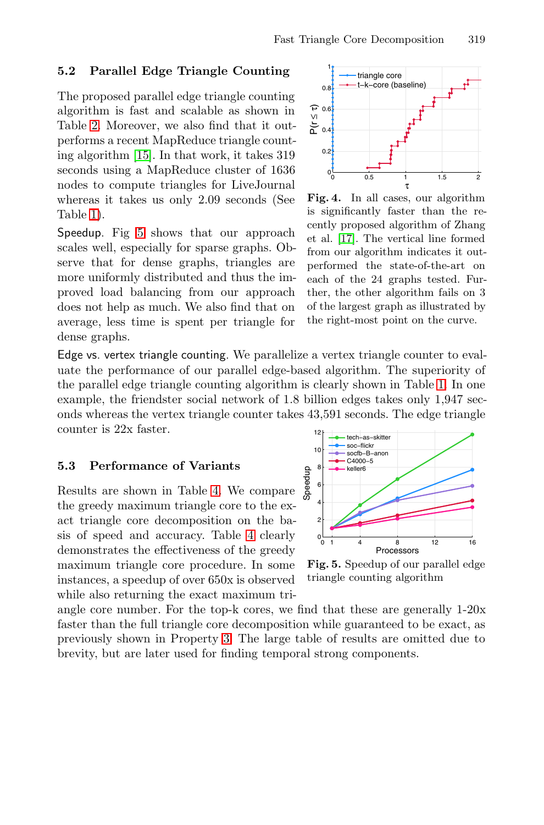#### **5.2 Parallel Edge Triangle Counting**

The proposed parallel edge triangle counting algorithm is fast and scalable as shown in Table 2. Moreover, we also find t[hat](#page-12-7) it outperforms a recent MapReduce triangle counting algorithm [15]. In that work, it takes 319 seconds using a MapReduce cluster of 1636 nodes to compute triangles for LiveJournal whereas it takes us only 2.09 seconds (See Table 1).

Speedup. Fig 5 shows that our approach scales well, especially for sparse graphs. Observe that for dense graphs, triangles are more uniformly distributed and thus the improved load balancing from our approach does not help as much. We also find that on average, less time is spent per triangle for dense graphs.

<span id="page-9-1"></span>

**Fig. 4.** In all cases, our algorithm is significantly faster than the recently proposed algorithm of Zhang et al. [17]. The vertical line formed from our algorithm indicates it outperfor[me](#page-2-0)d the state-of-the-art on each of the 24 graphs tested. Further, the other algorithm fails on 3 of the largest graph as illustrated by the right-most point on the curve.

Edge vs. vertex triangle counting. We parallelize a vertex triangle counter to evaluate the p[er](#page-10-1)formance of our parallel edge-based algorithm. The superiority of the parallel edge triangle counting algorithm is clearly shown in Table 1. In one example, the friendster social network of 1.8 billion edges takes only 1,947 seconds whereas the [ve](#page-10-1)rtex triangle counter takes 43,591 seconds. The edge triangle counter is 22x faster.

#### **5.3 Performance of Variants**

Results are shown in Table 4. We compare the greedy maximum triangle core to the exact triangle [co](#page-2-1)re decomposition on the basis of speed and accuracy. Table 4 clearly demonstrates the effectiveness of the greedy maximum triangle core procedure. In some instances, a speedup of over 650x is observed while also returning the exact maximum tri-

<span id="page-9-0"></span>

**Fig. 5.** Speedup of our parallel edge triangle counting algorithm

angle core number. For the top-k cores, we find that these are generally 1-20x faster than the full triangle core decomposition while guaranteed to be exact, as previously shown in Property 3. The large table of results are omitted due to brevity, but are later used for finding temporal strong components.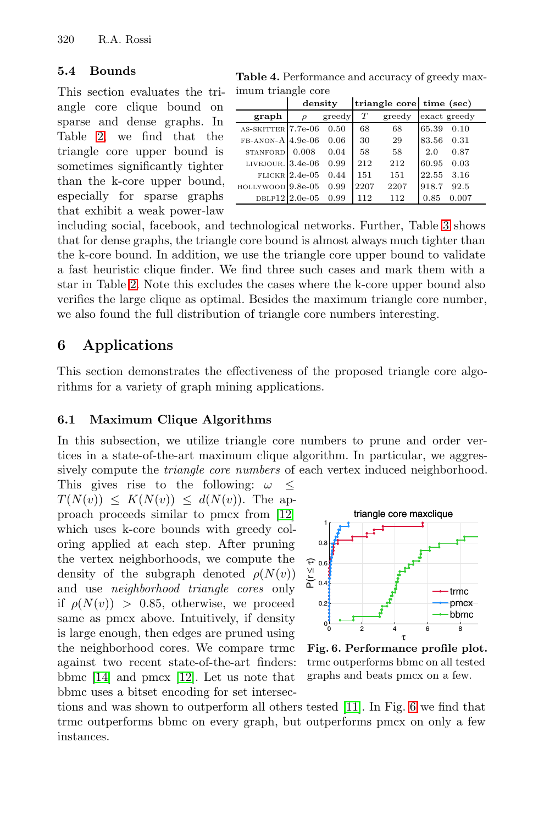<span id="page-10-0"></span>This section evaluates the triangle core clique bound on sparse and dense graphs. In Table 2, we find that the triangle core upper bound is sometimes significantly tighter than the k-core upper bound, especially for sparse graphs that exhibit a weak power-law

**5.4 Bounds Table 4.** Performance and accuracy of greedy maximum triangle core

<span id="page-10-1"></span>

|                     | density          |        |      |        | triangle core time (sec) |  |  |
|---------------------|------------------|--------|------|--------|--------------------------|--|--|
| graph               | ρ                | greedy | T    | greedy | exact greedy             |  |  |
| AS-SKITTER 7.7e-06  |                  | 0.50   | 68   | 68     | 65.39<br>0.10            |  |  |
| $FB-ANON-A$ 4.9e-06 |                  | 0.06   | 30   | 29     | 83.56<br>0.31            |  |  |
| <b>STANFORD</b>     | 0.008            | 0.04   | 58   | 58     | 0.87<br>2.0              |  |  |
| LIVEJOUR. $3.4e-06$ |                  | 0.99   | 212  | 212    | 60.95<br>0.03            |  |  |
|                     | $FLICKR$ 2.4e-05 | 0.44   | 151  | 151    | 3.16<br>22.55            |  |  |
| HOLLYWOOD 9.8e-05   |                  | 0.99   | 2207 | 2207   | 918.7<br>92.5            |  |  |
|                     | DBLP12 2.0e-05   | 0.99   | 112  | 112    | 0.85<br>0.007            |  |  |

including social, facebook, and technological networks. Further, Table 3 shows that for dense graphs, the triangle core bound is almost always much tighter than the k-core bound. In addition, we use the triangle core upper bound to validate a fast heuristic clique finder. We find three such cases and mark them with a star in Table 2. Note this excludes the cases where the k-core upper bound also verifies the large clique as optimal. Besides the maximum triangle core number, we also found the full distribution of triangle core numbers interesting.

### **6 Applications**

This section demonstrates the effectiveness of the proposed triangle core algorithms for a variety of graph mining applications.

#### **6.1 Maximum Clique Algorithms**

In this subsection, we utilize triangle core numbers to prune and order vertices in a state-of-the-art maximum clique algorithm. In particular, we aggressively compute the *triangle core numbers* of each vertex induced neighborhood.

This gives rise to the following:  $\omega \leq$  $T(N(v)) \leq K(N(v)) \leq d(N(v))$ . The approach proceeds similar to pmcx from [12] which uses k-core bounds with greedy coloring applied at each step. After pruning the [ver](#page-12-5)tex neighborhoods, we compute the density of the subgraph denoted  $\rho(N(v))$ and use *neighborhood triangle co[res](#page-12-8)* only if  $\rho(N(v)) > 0.85$ , otherwise, we proceed same as pmcx above. Intuitively, if density is large enough, then edges are pruned using the neighborhood cores. We compare trmc against two recent state-of-the-art finders: bbmc [14] and pmcx [12]. Let us note that bbmc uses a bitset encoding for set intersec-



**Fig. 6. Performance profile plot.** trmc outperforms bbmc on all tested graphs and beats pmcx on a few.

tions and was shown to outperform all others tested [11]. In Fig. 6 we find that trmc outperforms bbmc on every graph, but outperforms pmcx on only a few instances.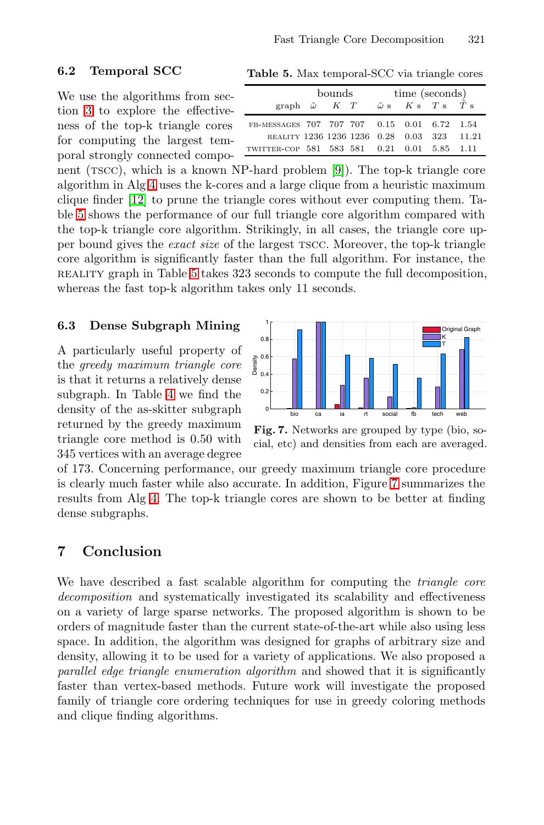**[6](#page-7-1).2 Temporal SCC Table 5.** Max temporal-SCC via triangle cores

<span id="page-11-0"></span>

| We use the algorithms from sec-  |
|----------------------------------|
| tion 3 to explore the effective- |
| ness of the top-k triangle cores |
| for computing the largest tem-   |
| poral strongly connected compo-  |

<span id="page-11-1"></span>

|                                             | bounds | time (seconds) |                                              |  |  |
|---------------------------------------------|--------|----------------|----------------------------------------------|--|--|
| graph $\tilde{\omega}$ K T                  |        |                | $\tilde{\omega}$ s $K$ s $T$ s $\tilde{T}$ s |  |  |
| FB-MESSAGES 707 707 707 0.15 0.01 6.72 1.54 |        |                |                                              |  |  |
| REALITY 1236 1236 1236 0.28 0.03 323 11.21  |        |                |                                              |  |  |
| TWITTER-COP 581 583 581 0.21 0.01 5.85 1.11 |        |                |                                              |  |  |

nent (TSCC), which is a known NP-hard problem [9]). The top-k triangle core algorithm in Alg 4 uses the k-cores and a large clique from a heuristic maximum clique finder [12] to prune the triangle cores without ever computing them. Table 5 shows the performance of our full triangle core algorithm compared with the top-k triangle core algorithm. Strikingly, in all cases, the triangle core upper bound gives the *exact size* of the largest tscc. Moreover, the top-k triangle core algorithm is significantly faster than the full algorithm. For instance, the reality graph in Table 5 takes 323 seconds to compute the full decomposition, w[he](#page-10-1)reas the fast top-k algorithm takes only 11 seconds.

#### **6.3 Dense Subgraph Mining**

A particularly useful property of the *greedy maximum triangle core* [is](#page-7-1) that it returns a relatively dense subgraph. In Table 4 we find the density of the as-skitter subgraph returned by the greedy maximum triangle core method is 0.50 with 345 vertices with an average degree



**Fig. 7.** Networks are grouped by type (bio, social, etc) and densities from each are averaged.

of 173. Concerning performance, our greedy maximum triangle core procedure is clearly much faster while also accurate. In addition, Figure 7 summarizes the results from Alg 4. The top-k triangle cores are shown to be better at finding dense subgraphs.

# **7 Conclusion**

We have described a fast scalable algorithm for computing the *triangle core decomposition* and systematically investigated its scalability and effectiveness on a variety of large sparse networks. The proposed algorithm is shown to be orders of magnitude faster than the current state-of-the-art while also using less space. In addition, the algorithm was designed for graphs of arbitrary size and density, allowing it to be used for a variety of applications. We also proposed a *parallel edge triangle enumeration algorithm* and showed that it is significantly faster than vertex-based methods. Future work will investigate the proposed family of triangle core ordering techniques for use in greedy coloring methods and clique finding algorithms.